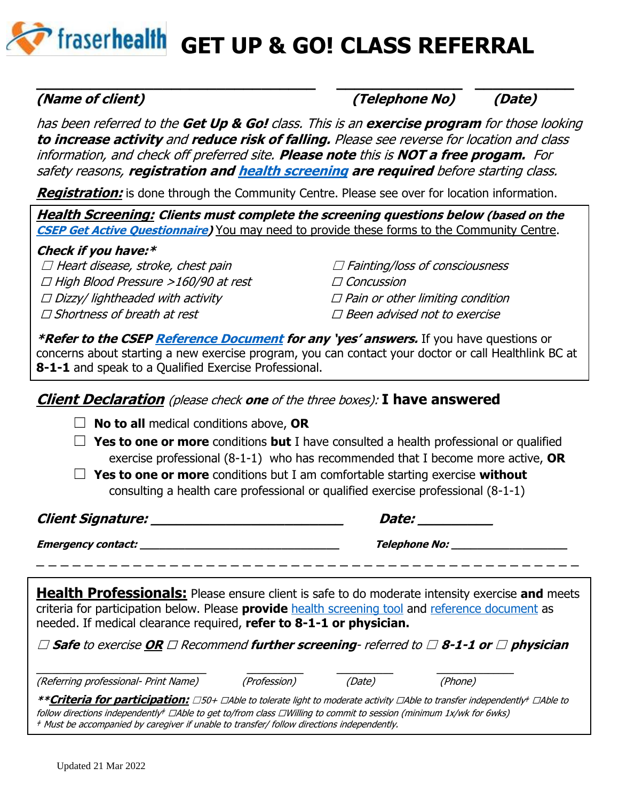'fraserhealth GET UP & GO! CLASS REFERRAL

## **(Name of client) (Telephone No) (Date)**

has been referred to the **Get Up & Go!** class. This is an **exercise program** for those looking **to increase activity** and **reduce risk of falling.** Please see reverse for location and class information, and check off preferred site. **Please note** this is **NOT a free progam.** For safety reasons, **registration and [health screening](https://csep.ca/2021/01/20/pre-screening-for-physical-activity/) are required** before starting class.

**\_\_\_\_\_\_\_\_\_\_\_\_\_\_\_\_\_\_\_\_\_\_\_\_\_\_\_\_\_\_\_ \_\_\_\_\_\_\_\_\_\_\_\_\_\_ \_\_\_\_\_\_\_\_\_\_\_**

**Registration:** is done through the Community Centre. Please see over for location information.

**Health Screening: Clients must complete the screening questions below (based on the [CSEP Get Active Questionnaire\)](https://csep.ca/wp-content/uploads/2021/05/GETACTIVEQUESTIONNAIRE_ENG.pdf)** You may need to provide these forms to the Community Centre.

### **Check if you have:\***

 $\Box$  Heart disease, stroke, chest pain

☐ High Blood Pressure >160/90 at rest

 $\Box$  Dizzy/ lightheaded with activity

☐ Shortness of breath at rest

☐ Fainting/loss of consciousness

☐ Concussion

 $\square$  Pain or other limiting condition

☐ Been advised not to exercise

**\*Refer to the CSE[P Reference Document](https://csep.ca/wp-content/uploads/2021/05/GAQREFDOC_ENG.pdf) for any 'yes' answers.** If you have questions or concerns about starting a new exercise program, you can contact your doctor or call Healthlink BC at **8-1-1** and speak to a Qualified Exercise Professional.

# **Client Declaration** (please check **one** of the three boxes): **I have answered**

☐ **No to all** medical conditions above, **OR**

☐ **Yes to one or more** conditions **but** I have consulted a health professional or qualified exercise professional (8-1-1) who has recommended that I become more active, **OR**

☐ **Yes to one or more** conditions but I am comfortable starting exercise **without** consulting a health care professional or qualified exercise professional (8-1-1)

**Client Signature: \_\_\_\_\_\_\_\_\_\_\_\_\_\_\_\_\_\_\_\_\_\_\_ Date: \_\_\_\_\_\_\_\_\_**

**Emergency contact: \_\_\_\_\_\_\_\_\_\_\_\_\_\_\_\_\_\_\_\_\_\_\_\_\_\_\_\_\_\_\_ Telephone No: \_\_\_\_\_\_\_\_\_\_\_\_\_\_\_\_\_\_** \_ \_ \_ \_ \_ \_ \_ \_ \_ \_ \_ \_ \_ \_ \_ \_ \_ \_ \_ \_ \_ \_ \_ \_ \_ \_ \_ \_ \_ \_ \_ \_ \_ \_ \_ \_ \_ \_ \_ \_ \_ \_ \_ \_ \_

**Health Professionals:** Please ensure client is safe to do moderate intensity exercise and meets criteria for participation below. Please **provide** [health screening tool](https://csep.ca/wp-content/uploads/2021/05/GETACTIVEQUESTIONNAIRE_ENG.pdf) and [reference document](https://csep.ca/wp-content/uploads/2021/05/GAQREFDOC_ENG.pdf) as needed. If medical clearance required, **refer to 8-1-1 or physician.**

☐ **Safe** to exercise **OR** ☐ Recommend **further screening**- referred to ☐ **8-1-1 or** ☐ **physician**

(Referring professional- Print Name) (Profession) (Date) (Phone)

**\_\_\_\_\_\_\_\_\_\_\_\_\_\_\_\_\_\_\_\_\_\_\_\_\_\_\_\_\_\_\_\_\_ \_\_\_\_\_\_\_\_\_\_\_ \_\_\_\_\_\_\_\_\_\_\_ \_\_\_\_\_\_\_\_\_\_\_\_\_\_\_**

**\*\*Criteria for participation:** ☐50+ ☐Able to tolerate light to moderate activity ☐Able to transfer independently ǂ ☐Able to follow directions independently‡ □Able to get to/from class □Willing to commit to session (minimum 1x/wk for 6wks) <sup>ǂ</sup> Must be accompanied by caregiver if unable to transfer/ follow directions independently.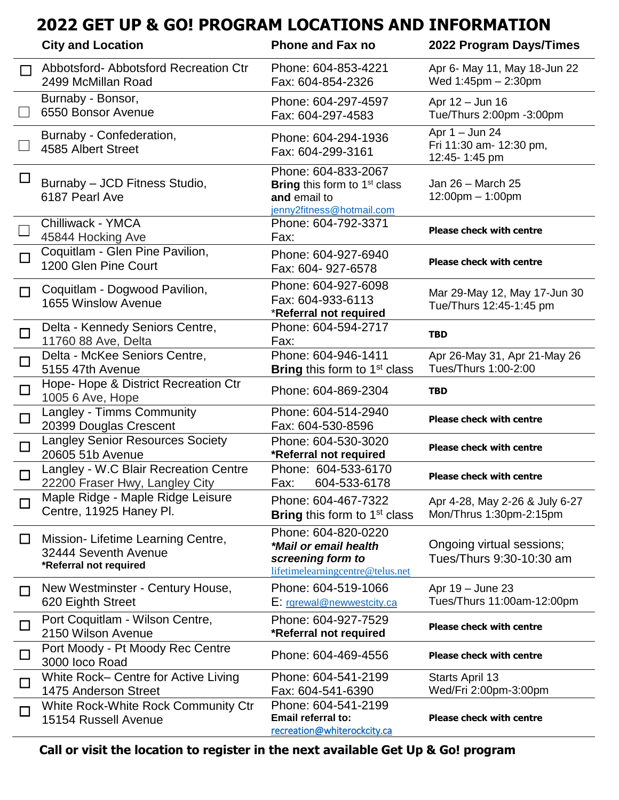# **2022 GET UP & GO! PROGRAM LOCATIONS AND INFORMATION**

|        | <b>City and Location</b>                                                             | <b>Phone and Fax no</b>                                                                                 | 2022 Program Days/Times                                      |
|--------|--------------------------------------------------------------------------------------|---------------------------------------------------------------------------------------------------------|--------------------------------------------------------------|
| П      | Abbotsford-Abbotsford Recreation Ctr<br>2499 McMillan Road                           | Phone: 604-853-4221<br>Fax: 604-854-2326                                                                | Apr 6- May 11, May 18-Jun 22<br>Wed $1:45$ pm $- 2:30$ pm    |
|        | Burnaby - Bonsor,<br>6550 Bonsor Avenue                                              | Phone: 604-297-4597<br>Fax: 604-297-4583                                                                | Apr 12 - Jun 16<br>Tue/Thurs 2:00pm -3:00pm                  |
|        | Burnaby - Confederation,<br>4585 Albert Street                                       | Phone: 604-294-1936<br>Fax: 604-299-3161                                                                | Apr $1 -$ Jun 24<br>Fri 11:30 am- 12:30 pm,<br>12:45-1:45 pm |
| $\Box$ | Burnaby - JCD Fitness Studio,<br>6187 Pearl Ave                                      | Phone: 604-833-2067<br><b>Bring this form to 1st class</b><br>and email to<br>jenny2fitness@hotmail.com | Jan 26 - March 25<br>$12:00$ pm $-1:00$ pm                   |
|        | Chilliwack - YMCA<br>45844 Hocking Ave                                               | Phone: 604-792-3371<br>Fax:                                                                             | <b>Please check with centre</b>                              |
| $\Box$ | Coquitlam - Glen Pine Pavilion,<br>1200 Glen Pine Court                              | Phone: 604-927-6940<br>Fax: 604-927-6578                                                                | <b>Please check with centre</b>                              |
| $\Box$ | Coquitlam - Dogwood Pavilion,<br>1655 Winslow Avenue                                 | Phone: 604-927-6098<br>Fax: 604-933-6113<br>*Referral not required                                      | Mar 29-May 12, May 17-Jun 30<br>Tue/Thurs 12:45-1:45 pm      |
| $\Box$ | Delta - Kennedy Seniors Centre,<br>11760 88 Ave, Delta                               | Phone: 604-594-2717<br>Fax:                                                                             | <b>TBD</b>                                                   |
| $\Box$ | Delta - McKee Seniors Centre,<br>5155 47th Avenue                                    | Phone: 604-946-1411<br><b>Bring</b> this form to 1 <sup>st</sup> class                                  | Apr 26-May 31, Apr 21-May 26<br>Tues/Thurs 1:00-2:00         |
| $\Box$ | Hope- Hope & District Recreation Ctr<br>1005 6 Ave, Hope                             | Phone: 604-869-2304                                                                                     | <b>TBD</b>                                                   |
| $\Box$ | Langley - Timms Community<br>20399 Douglas Crescent                                  | Phone: 604-514-2940<br>Fax: 604-530-8596                                                                | <b>Please check with centre</b>                              |
| $\Box$ | <b>Langley Senior Resources Society</b><br>20605 51b Avenue                          | Phone: 604-530-3020<br>*Referral not required                                                           | <b>Please check with centre</b>                              |
| $\Box$ | Langley - W.C Blair Recreation Centre<br>22200 Fraser Hwy, Langley City              | Phone: 604-533-6170<br>604-533-6178<br>Fax:                                                             | <b>Please check with centre</b>                              |
|        | Maple Ridge - Maple Ridge Leisure<br>Centre, 11925 Haney Pl.                         | Phone: 604-467-7322<br>Bring this form to 1 <sup>st</sup> class                                         | Apr 4-28, May 2-26 & July 6-27<br>Mon/Thrus 1:30pm-2:15pm    |
| $\Box$ | Mission- Lifetime Learning Centre,<br>32444 Seventh Avenue<br>*Referral not required | Phone: 604-820-0220<br>*Mail or email health<br>screening form to<br>lifetimelearningcentre@telus.net   | Ongoing virtual sessions;<br>Tues/Thurs 9:30-10:30 am        |
| $\Box$ | New Westminster - Century House,<br>620 Eighth Street                                | Phone: 604-519-1066<br>E: rgrewal@newwestcity.ca                                                        | Apr 19 - June 23<br>Tues/Thurs 11:00am-12:00pm               |
| □      | Port Coquitlam - Wilson Centre,<br>2150 Wilson Avenue                                | Phone: 604-927-7529<br>*Referral not required                                                           | <b>Please check with centre</b>                              |
| $\Box$ | Port Moody - Pt Moody Rec Centre<br>3000 loco Road                                   | Phone: 604-469-4556                                                                                     | <b>Please check with centre</b>                              |
| $\Box$ | White Rock- Centre for Active Living<br>1475 Anderson Street                         | Phone: 604-541-2199<br>Fax: 604-541-6390                                                                | Starts April 13<br>Wed/Fri 2:00pm-3:00pm                     |
| $\Box$ | White Rock-White Rock Community Ctr<br>15154 Russell Avenue                          | Phone: 604-541-2199<br>Email referral to:<br>recreation@whiterockcity.ca                                | <b>Please check with centre</b>                              |

**Call or visit the location to register in the next available Get Up & Go! program**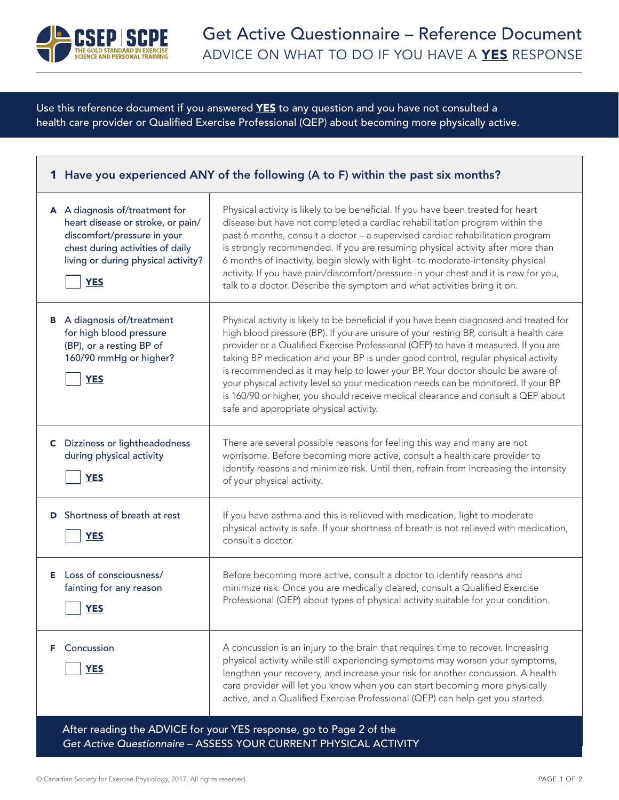

Use this reference document if you answered YES to any question and you have not consulted a health care provider or Qualified Exercise Professional (QEP) about becoming more physically active.

| 1 Have you experienced ANY of the following (A to F) within the past six months? |                                                                                                                                                                                             |                                                                                                                                                                                                                                                                                                                                                                                                                                                                                                                                                                                                                                                                      |  |
|----------------------------------------------------------------------------------|---------------------------------------------------------------------------------------------------------------------------------------------------------------------------------------------|----------------------------------------------------------------------------------------------------------------------------------------------------------------------------------------------------------------------------------------------------------------------------------------------------------------------------------------------------------------------------------------------------------------------------------------------------------------------------------------------------------------------------------------------------------------------------------------------------------------------------------------------------------------------|--|
|                                                                                  | A A diagnosis of/treatment for<br>heart disease or stroke, or pain/<br>discomfort/pressure in your<br>chest during activities of daily<br>living or during physical activity?<br><b>YES</b> | Physical activity is likely to be beneficial. If you have been treated for heart<br>disease but have not completed a cardiac rehabilitation program within the<br>past 6 months, consult a doctor - a supervised cardiac rehabilitation program<br>is strongly recommended. If you are resuming physical activity after more than<br>6 months of inactivity, begin slowly with light- to moderate-intensity physical<br>activity. If you have pain/discomfort/pressure in your chest and it is new for you,<br>talk to a doctor. Describe the symptom and what activities bring it on.                                                                               |  |
|                                                                                  | <b>B</b> A diagnosis of/treatment<br>for high blood pressure<br>(BP), or a resting BP of<br>160/90 mmHg or higher?<br><b>YES</b>                                                            | Physical activity is likely to be beneficial if you have been diagnosed and treated for<br>high blood pressure (BP). If you are unsure of your resting BP, consult a health care<br>provider or a Qualified Exercise Professional (QEP) to have it measured. If you are<br>taking BP medication and your BP is under good control, regular physical activity<br>is recommended as it may help to lower your BP. Your doctor should be aware of<br>your physical activity level so your medication needs can be monitored. If your BP<br>is 160/90 or higher, you should receive medical clearance and consult a QEP about<br>safe and appropriate physical activity. |  |
|                                                                                  | <b>C</b> Dizziness or lightheadedness<br>during physical activity<br><b>YES</b>                                                                                                             | There are several possible reasons for feeling this way and many are not<br>worrisome. Before becoming more active, consult a health care provider to<br>identify reasons and minimize risk. Until then, refrain from increasing the intensity<br>of your physical activity.                                                                                                                                                                                                                                                                                                                                                                                         |  |
| D                                                                                | Shortness of breath at rest<br><b>YES</b>                                                                                                                                                   | If you have asthma and this is relieved with medication, light to moderate<br>physical activity is safe. If your shortness of breath is not relieved with medication,<br>consult a doctor.                                                                                                                                                                                                                                                                                                                                                                                                                                                                           |  |
|                                                                                  | E Loss of consciousness/<br>fainting for any reason<br>YES                                                                                                                                  | Before becoming more active, consult a doctor to identify reasons and<br>minimize risk. Once you are medically cleared, consult a Qualified Exercise<br>Professional (QEP) about types of physical activity suitable for your condition.                                                                                                                                                                                                                                                                                                                                                                                                                             |  |
| F.                                                                               | Concussion<br><b>YES</b>                                                                                                                                                                    | A concussion is an injury to the brain that requires time to recover. Increasing<br>physical activity while still experiencing symptoms may worsen your symptoms,<br>lengthen your recovery, and increase your risk for another concussion. A health<br>care provider will let you know when you can start becoming more physically<br>active, and a Qualified Exercise Professional (QEP) can help get you started.                                                                                                                                                                                                                                                 |  |
|                                                                                  |                                                                                                                                                                                             | After reading the ADVICE for your YES response, go to Page 2 of the<br>Get Active Questionnaire - ASSESS YOUR CURRENT PHYSICAL ACTIVITY                                                                                                                                                                                                                                                                                                                                                                                                                                                                                                                              |  |